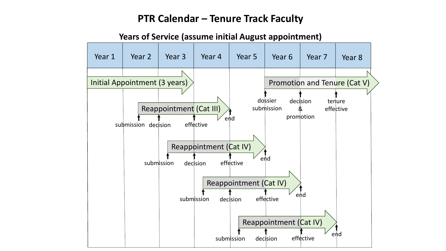#### **PTR Calendar – Tenure Track Faculty**



**Years of Service (assume initial August appointment)**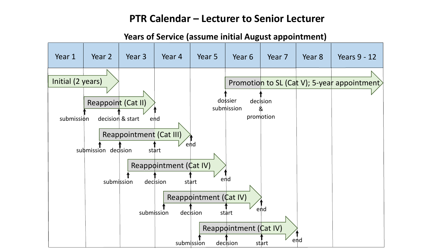#### **PTR Calendar – Lecturer to Senior Lecturer**

Reappointment (Cat IV) Year 1 | Year 2 | Year 3 | Year 4 | Year 5 | Year 6 | Year 7 | Year 8 Initial (2 years) submission decision & start end submission decision start end submission decision start end submission decision start <sup>Pend</sup> dossier submission decision & promotion Years 9 - 12 Reappoint (Cat II) Reappointment (Cat IV) Reappointment (Cat IV) Promotion to SL (Cat V); 5-year appointment submission decision start end Reappointment (Cat III)

#### **Years of Service (assume initial August appointment)**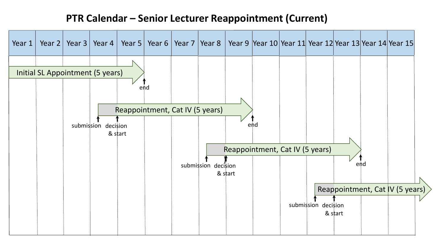## **PTR Calendar – Senior Lecturer Reappointment (Current)**

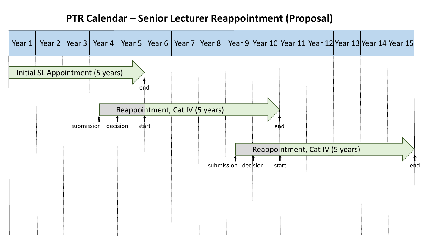# **PTR Calendar – Senior Lecturer Reappointment (Proposal)**